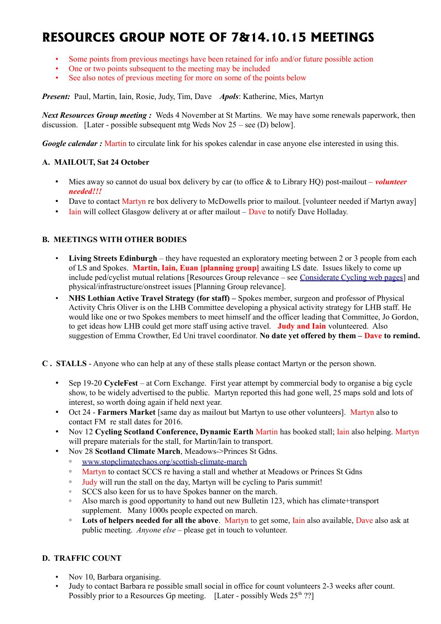# **RESOURCES GROUP NOTE OF 7&14.10.15 MEETINGS**

- Some points from previous meetings have been retained for info and/or future possible action
- One or two points subsequent to the meeting may be included
- See also notes of previous meeting for more on some of the points below

*Present:* Paul, Martin, Iain, Rosie, Judy, Tim, Dave *Apols*: Katherine, Mies, Martyn

*Next Resources Group meeting :* Weds 4 November at St Martins. We may have some renewals paperwork, then discussion. [Later - possible subsequent mtg Weds Nov 25 – see (D) below].

*Google calendar* : Martin to circulate link for his spokes calendar in case anyone else interested in using this.

### **A. MAILOUT, Sat 24 October**

- Mies away so cannot do usual box delivery by car (to office & to Library HQ) post-mailout *volunteer needed!!!*
- Dave to contact Martyn re box delivery to McDowells prior to mailout. [volunteer needed if Martyn away]
- Iain will collect Glasgow delivery at or after mailout Dave to notify Dave Holladay.

### **B. MEETINGS WITH OTHER BODIES**

- **Living Streets Edinburgh** they have requested an exploratory meeting between 2 or 3 people from each of LS and Spokes. **Martin, Iain, Euan [planning group]** awaiting LS date. Issues likely to come up include ped/cyclist mutual relations [Resources Group relevance – see [Considerate Cycling web pages\]](http://www.spokes.org.uk/documents/advice/considerate-cycling/) and physical/infrastructure/onstreet issues [Planning Group relevance].
- **NHS Lothian Active Travel Strategy (for staff) –** Spokes member, surgeon and professor of Physical Activity Chris Oliver is on the LHB Committee developing a physical activity strategy for LHB staff. He would like one or two Spokes members to meet himself and the officer leading that Committee, Jo Gordon, to get ideas how LHB could get more staff using active travel. **Judy and Iain** volunteered. Also suggestion of Emma Crowther, Ed Uni travel coordinator. **No date yet offered by them – Dave to remind.**
- **C . STALLS** Anyone who can help at any of these stalls please contact Martyn or the person shown.
	- Sep 19-20 **CycleFest** at Corn Exchange. First year attempt by commercial body to organise a big cycle show, to be widely advertised to the public. Martyn reported this had gone well, 25 maps sold and lots of interest, so worth doing again if held next year.
	- Oct 24 **Farmers Market** [same day as mailout but Martyn to use other volunteers]. Martyn also to contact FM re stall dates for 2016.
	- Nov 12 **Cycling Scotland Conference, Dynamic Earth** Martin has booked stall; Iain also helping. Martyn will prepare materials for the stall, for Martin/Iain to transport.
	- Nov 28 **Scotland Climate March**, Meadows->Princes St Gdns.
		- [www.stopclimatechaos.org/scottish-climate-march](http://www.stopclimatechaos.org/scottish-climate-march)
		- Martyn to contact SCCS re having a stall and whether at Meadows or Princes St Gdns
		- Judy will run the stall on the day, Martyn will be cycling to Paris summit!
		- SCCS also keen for us to have Spokes banner on the march.
		- Also march is good opportunity to hand out new Bulletin 123, which has climate+transport supplement. Many 1000s people expected on march.
		- **Lots of helpers needed for all the above**. Martyn to get some, Iain also available, Dave also ask at public meeting. *Anyone else* – please get in touch to volunteer.

# **D. TRAFFIC COUNT**

- Nov 10, Barbara organising.
- Judy to contact Barbara re possible small social in office for count volunteers 2-3 weeks after count. Possibly prior to a Resources Gp meeting. [Later - possibly Weds  $25<sup>th</sup>$  ??]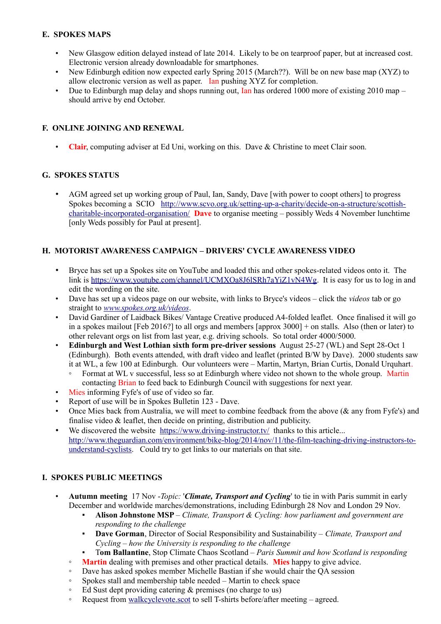## **E. SPOKES MAPS**

- New Glasgow edition delayed instead of late 2014. Likely to be on tearproof paper, but at increased cost. Electronic version already downloadable for smartphones.
- New Edinburgh edition now expected early Spring 2015 (March??). Will be on new base map (XYZ) to allow electronic version as well as paper. Ian pushing XYZ for completion.
- Due to Edinburgh map delay and shops running out, Ian has ordered 1000 more of existing 2010 map should arrive by end October.

## **F. ONLINE JOINING AND RENEWAL**

• **Clair**, computing adviser at Ed Uni, working on this. Dave & Christine to meet Clair soon.

### **G. SPOKES STATUS**

• AGM agreed set up working group of Paul, Ian, Sandy, Dave [with power to coopt others] to progress Spokes becoming a SCIO [http://www.scvo.org.uk/setting-up-a-charity/decide-on-a-structure/scottish](http://www.scvo.org.uk/setting-up-a-charity/decide-on-a-structure/scottish-charitable-incorporated-organisation/)[charitable-incorporated-organisation/](http://www.scvo.org.uk/setting-up-a-charity/decide-on-a-structure/scottish-charitable-incorporated-organisation/) **Dave** to organise meeting – possibly Weds 4 November lunchtime [only Weds possibly for Paul at present].

## **H. MOTORIST AWARENESS CAMPAIGN – DRIVERS' CYCLE AWARENESS VIDEO**

- Bryce has set up a Spokes site on YouTube and loaded this and other spokes-related videos onto it. The link is [https://www.youtube.com/channel/UCMXOa8J6lSRh7aYiZ1vN4Wg.](https://www.youtube.com/channel/UCMXOa8J6lSRh7aYiZ1vN4Wg) It is easy for us to log in and edit the wording on the site.
- Dave has set up a videos page on our website, with links to Bryce's videos click the *videos* tab or go straight to *[www.spokes.org.uk/videos](http://www.spokes.org.uk/videos)*.
- David Gardiner of Laidback Bikes/ Vantage Creative produced A4-folded leaflet. Once finalised it will go in a spokes mailout [Feb 2016?] to all orgs and members [approx 3000] + on stalls. Also (then or later) to other relevant orgs on list from last year, e.g. driving schools. So total order 4000/5000.
- **Edinburgh and West Lothian sixth form pre-driver sessions** August 25-27 (WL) and Sept 28-Oct 1 (Edinburgh). Both events attended, with draft video and leaflet (printed B/W by Dave). 2000 students saw it at WL, a few 100 at Edinburgh. Our volunteers were – Martin, Martyn, Brian Curtis, Donald Urquhart.
	- Format at WL v successful, less so at Edinburgh where video not shown to the whole group. Martin contacting Brian to feed back to Edinburgh Council with suggestions for next year.
- Mies informing Fyfe's of use of video so far.
- Report of use will be in Spokes Bulletin 123 Dave.
- Once Mies back from Australia, we will meet to combine feedback from the above ( $\&$  any from Fyfe's) and finalise video & leaflet, then decide on printing, distribution and publicity.
- We discovered the website <https://www.driving-instructor.tv/>thanks to this article... [http://www.theguardian.com/environment/bike-blog/2014/nov/11/the-film-teaching-driving-instructors-to](http://www.theguardian.com/environment/bike-blog/2014/nov/11/the-film-teaching-driving-instructors-to-understand-cyclists)[understand-cyclists.](http://www.theguardian.com/environment/bike-blog/2014/nov/11/the-film-teaching-driving-instructors-to-understand-cyclists) Could try to get links to our materials on that site.

### **I. SPOKES PUBLIC MEETINGS**

- **Autumn meeting** 17 Nov -*Topic:* '*Climate, Transport and Cycling*' to tie in with Paris summit in early December and worldwide marches/demonstrations, including Edinburgh 28 Nov and London 29 Nov.
	- Alison Johnstone MSP *Climate, Transport & Cycling: how parliament and government are responding to the challenge*
	- **Dave Gorman**, Director of Social Responsibility and Sustainability *Climate, Transport and Cycling – how the University is responding to the challenge*
		- T**om Ballantine**, Stop Climate Chaos Scotland *Paris Summit and how Scotland is responding*
	- **Martin** dealing with premises and other practical details. **Mies** happy to give advice.
	- Dave has asked spokes member Michelle Bastian if she would chair the QA session
	- Spokes stall and membership table needed Martin to check space
	- Ed Sust dept providing catering & premises (no charge to us)
	- Request from [walkcyclevote.scot](http://walkcyclevote.scot/) to sell T-shirts before/after meeting agreed.